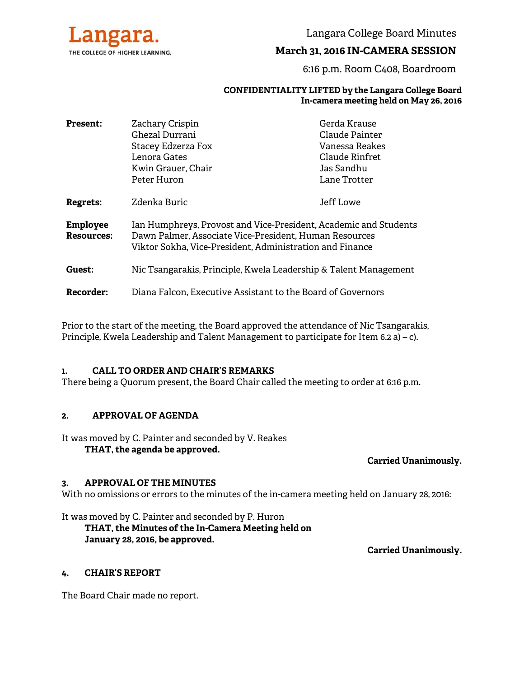

Langara College Board Minutes

### **March 31, 2016 IN-CAMERA SESSION**

6:16 p.m. Room C408, Boardroom

#### **CONFIDENTIALITY LIFTED by the Langara College Board In-camera meeting held on May 26, 2016**

| <b>Present:</b>               | Zachary Crispin                                                                                                                                                                        | Gerda Krause   |
|-------------------------------|----------------------------------------------------------------------------------------------------------------------------------------------------------------------------------------|----------------|
|                               | Ghezal Durrani                                                                                                                                                                         | Claude Painter |
|                               | Stacey Edzerza Fox                                                                                                                                                                     | Vanessa Reakes |
|                               | Lenora Gates                                                                                                                                                                           | Claude Rinfret |
|                               | Kwin Grauer, Chair                                                                                                                                                                     | Jas Sandhu     |
|                               | Peter Huron                                                                                                                                                                            | Lane Trotter   |
| Regrets:                      | Zdenka Buric                                                                                                                                                                           | Jeff Lowe      |
| <b>Employee</b><br>Resources: | Ian Humphreys, Provost and Vice-President, Academic and Students<br>Dawn Palmer, Associate Vice-President, Human Resources<br>Viktor Sokha, Vice-President, Administration and Finance |                |
| Guest:                        | Nic Tsangarakis, Principle, Kwela Leadership & Talent Management                                                                                                                       |                |
| <b>Recorder:</b>              | Diana Falcon, Executive Assistant to the Board of Governors                                                                                                                            |                |

Prior to the start of the meeting, the Board approved the attendance of Nic Tsangarakis, Principle, Kwela Leadership and Talent Management to participate for Item 6.2 a) – c).

#### **1. CALL TO ORDER AND CHAIR'S REMARKS**

There being a Quorum present, the Board Chair called the meeting to order at 6:16 p.m.

#### **2. APPROVAL OF AGENDA**

It was moved by C. Painter and seconded by V. Reakes

## **THAT, the agenda be approved.**

#### **Carried Unanimously.**

#### **3. APPROVAL OF THE MINUTES**

With no omissions or errors to the minutes of the in-camera meeting held on January 28, 2016:

#### It was moved by C. Painter and seconded by P. Huron  **THAT, the Minutes of the In-Camera Meeting held on January 28, 2016, be approved.**

**Carried Unanimously.** 

#### **4. CHAIR'S REPORT**

The Board Chair made no report.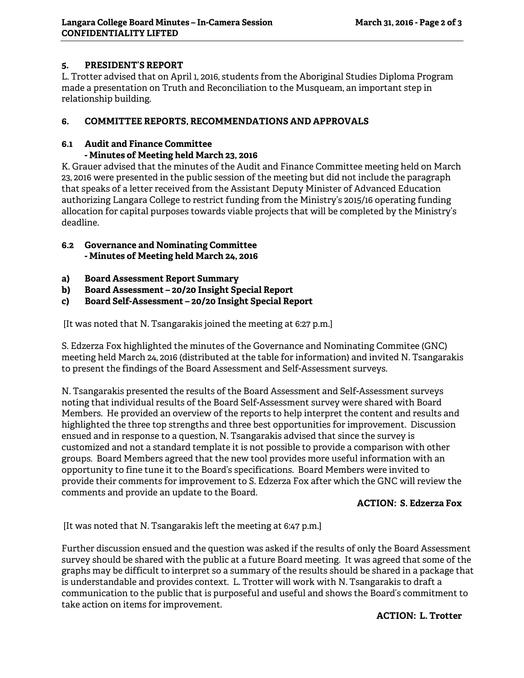## **5. PRESIDENT'S REPORT**

L. Trotter advised that on April 1, 2016, students from the Aboriginal Studies Diploma Program made a presentation on Truth and Reconciliation to the Musqueam, an important step in relationship building.

## **6. COMMITTEE REPORTS, RECOMMENDATIONS AND APPROVALS**

# **6.1 Audit and Finance Committee**

## **- Minutes of Meeting held March 23, 2016**

K. Grauer advised that the minutes of the Audit and Finance Committee meeting held on March 23, 2016 were presented in the public session of the meeting but did not include the paragraph that speaks of a letter received from the Assistant Deputy Minister of Advanced Education authorizing Langara College to restrict funding from the Ministry's 2015/16 operating funding allocation for capital purposes towards viable projects that will be completed by the Ministry's deadline.

### **6.2 Governance and Nominating Committee - Minutes of Meeting held March 24, 2016**

- **a) Board Assessment Report Summary**
- **b) Board Assessment 20/20 Insight Special Report**
- **c) Board Self-Assessment 20/20 Insight Special Report**

[It was noted that N. Tsangarakis joined the meeting at 6:27 p.m.]

S. Edzerza Fox highlighted the minutes of the Governance and Nominating Commitee (GNC) meeting held March 24, 2016 (distributed at the table for information) and invited N. Tsangarakis to present the findings of the Board Assessment and Self-Assessment surveys.

N. Tsangarakis presented the results of the Board Assessment and Self-Assessment surveys noting that individual results of the Board Self-Assessment survey were shared with Board Members. He provided an overview of the reports to help interpret the content and results and highlighted the three top strengths and three best opportunities for improvement. Discussion ensued and in response to a question, N. Tsangarakis advised that since the survey is customized and not a standard template it is not possible to provide a comparison with other groups. Board Members agreed that the new tool provides more useful information with an opportunity to fine tune it to the Board's specifications. Board Members were invited to provide their comments for improvement to S. Edzerza Fox after which the GNC will review the comments and provide an update to the Board.

### **ACTION: S. Edzerza Fox**

[It was noted that N. Tsangarakis left the meeting at 6:47 p.m.]

Further discussion ensued and the question was asked if the results of only the Board Assessment survey should be shared with the public at a future Board meeting. It was agreed that some of the graphs may be difficult to interpret so a summary of the results should be shared in a package that is understandable and provides context. L. Trotter will work with N. Tsangarakis to draft a communication to the public that is purposeful and useful and shows the Board's commitment to take action on items for improvement.

### **ACTION: L. Trotter**